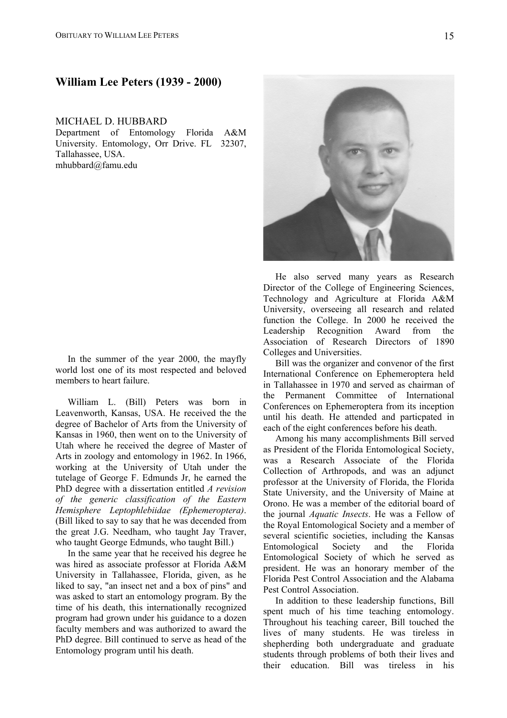## **William Lee Peters (1939 - 2000)**

## MICHAEL D. HUBBARD

Department of Entomology Florida A&M University. Entomology, Orr Drive. FL 32307, Tallahassee, USA. mhubbard@famu.edu

In the summer of the year 2000, the mayfly world lost one of its most respected and beloved members to heart failure.

William L. (Bill) Peters was born in Leavenworth, Kansas, USA. He received the the degree of Bachelor of Arts from the University of Kansas in 1960, then went on to the University of Utah where he received the degree of Master of Arts in zoology and entomology in 1962. In 1966, working at the University of Utah under the tutelage of George F. Edmunds Jr, he earned the PhD degree with a dissertation entitled *A revision of the generic classification of the Eastern Hemisphere Leptophlebiidae (Ephemeroptera)*. (Bill liked to say to say that he was decended from the great J.G. Needham, who taught Jay Traver, who taught George Edmunds, who taught Bill.)

In the same year that he received his degree he was hired as associate professor at Florida A&M University in Tallahassee, Florida, given, as he liked to say, "an insect net and a box of pins" and was asked to start an entomology program. By the time of his death, this internationally recognized program had grown under his guidance to a dozen faculty members and was authorized to award the PhD degree. Bill continued to serve as head of the Entomology program until his death.



He also served many years as Research Director of the College of Engineering Sciences, Technology and Agriculture at Florida A&M University, overseeing all research and related function the College. In 2000 he received the Leadership Recognition Award from the Association of Research Directors of 1890 Colleges and Universities.

Bill was the organizer and convenor of the first International Conference on Ephemeroptera held in Tallahassee in 1970 and served as chairman of the Permanent Committee of International Conferences on Ephemeroptera from its inception until his death. He attended and particpated in each of the eight conferences before his death.

Among his many accomplishments Bill served as President of the Florida Entomological Society, was a Research Associate of the Florida Collection of Arthropods, and was an adjunct professor at the University of Florida, the Florida State University, and the University of Maine at Orono. He was a member of the editorial board of the journal *Aquatic Insects*. He was a Fellow of the Royal Entomological Society and a member of several scientific societies, including the Kansas Entomological Society and the Florida Entomological Society of which he served as president. He was an honorary member of the Florida Pest Control Association and the Alabama Pest Control Association.

In addition to these leadership functions, Bill spent much of his time teaching entomology. Throughout his teaching career, Bill touched the lives of many students. He was tireless in shepherding both undergraduate and graduate students through problems of both their lives and their education. Bill was tireless in his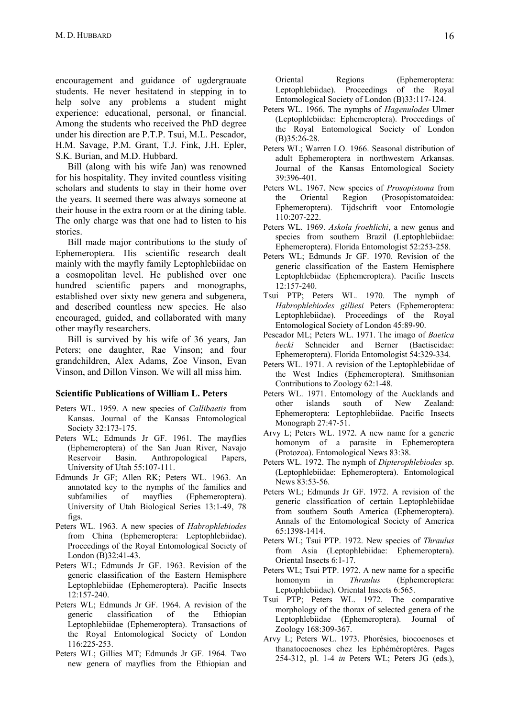encouragement and guidance of ugdergrauate students. He never hesitatend in stepping in to help solve any problems a student might experience: educational, personal, or financial. Among the students who received the PhD degree under his direction are P.T.P. Tsui, M.L. Pescador, H.M. Savage, P.M. Grant, T.J. Fink, J.H. Epler, S.K. Burian, and M.D. Hubbard.

Bill (along with his wife Jan) was renowned for his hospitality. They invited countless visiting scholars and students to stay in their home over the years. It seemed there was always someone at their house in the extra room or at the dining table. The only charge was that one had to listen to his stories.

Bill made major contributions to the study of Ephemeroptera. His scientific research dealt mainly with the mayfly family Leptophlebiidae on a cosmopolitan level. He published over one hundred scientific papers and monographs, established over sixty new genera and subgenera, and described countless new species. He also encouraged, guided, and collaborated with many other mayfly researchers.

Bill is survived by his wife of 36 years, Jan Peters; one daughter, Rae Vinson; and four grandchildren, Alex Adams, Zoe Vinson, Evan Vinson, and Dillon Vinson. We will all miss him.

## **Scientific Publications of William L. Peters**

- Peters WL. 1959. A new species of *Callibaetis* from Kansas. Journal of the Kansas Entomological Society 32:173-175.
- Peters WL; Edmunds Jr GF. 1961. The mayflies (Ephemeroptera) of the San Juan River, Navajo Reservoir Basin. Anthropological Papers, University of Utah 55:107-111.
- Edmunds Jr GF; Allen RK; Peters WL. 1963. An annotated key to the nymphs of the families and subfamilies of mayflies (Ephemeroptera). University of Utah Biological Series 13:1-49, 78 figs.
- Peters WL. 1963. A new species of *Habrophlebiodes* from China (Ephemeroptera: Leptophlebiidae). Proceedings of the Royal Entomological Society of London (B)32:41-43.
- Peters WL; Edmunds Jr GF. 1963. Revision of the generic classification of the Eastern Hemisphere Leptophlebiidae (Ephemeroptera). Pacific Insects 12:157-240.
- Peters WL; Edmunds Jr GF. 1964. A revision of the generic classification of the Ethiopian Leptophlebiidae (Ephemeroptera). Transactions of the Royal Entomological Society of London 116:225-253.
- Peters WL; Gillies MT; Edmunds Jr GF. 1964. Two new genera of mayflies from the Ethiopian and

Oriental Regions (Ephemeroptera: Leptophlebiidae). Proceedings of the Royal Entomological Society of London (B)33:117-124.

- Peters WL. 1966. The nymphs of *Hagenulodes* Ulmer (Leptophlebiidae: Ephemeroptera). Proceedings of the Royal Entomological Society of London (B)35:26-28.
- Peters WL; Warren LO. 1966. Seasonal distribution of adult Ephemeroptera in northwestern Arkansas. Journal of the Kansas Entomological Society 39:396-401.
- Peters WL. 1967. New species of *Prosopistoma* from the Oriental Region (Prosopistomatoidea: Ephemeroptera). Tijdschrift voor Entomologie 110:207-222.
- Peters WL. 1969. *Askola froehlichi*, a new genus and species from southern Brazil (Leptophlebiidae: Ephemeroptera). Florida Entomologist 52:253-258.
- Peters WL; Edmunds Jr GF. 1970. Revision of the generic classification of the Eastern Hemisphere Leptophlebiidae (Ephemeroptera). Pacific Insects 12:157-240.
- Tsui PTP; Peters WL. 1970. The nymph of *Habrophlebiodes gilliesi* Peters (Ephemeroptera: Leptophlebiidae). Proceedings of the Royal Entomological Society of London 45:89-90.
- Pescador ML; Peters WL. 1971. The imago of *Baetica becki* Schneider and Berner (Baetiscidae: Ephemeroptera). Florida Entomologist 54:329-334.
- Peters WL. 1971. A revision of the Leptophlebiidae of the West Indies (Ephemeroptera). Smithsonian Contributions to Zoology 62:1-48.
- Peters WL. 1971. Entomology of the Aucklands and other islands south of New Zealand: Ephemeroptera: Leptophlebiidae. Pacific Insects Monograph 27:47-51.
- Arvy L; Peters WL. 1972. A new name for a generic homonym of a parasite in Ephemeroptera (Protozoa). Entomological News 83:38.
- Peters WL. 1972. The nymph of *Dipterophlebiodes* sp. (Leptophlebiidae: Ephemeroptera). Entomological News 83:53-56.
- Peters WL; Edmunds Jr GF. 1972. A revision of the generic classification of certain Leptophlebiidae from southern South America (Ephemeroptera). Annals of the Entomological Society of America 65:1398-1414.
- Peters WL; Tsui PTP. 1972. New species of *Thraulus* from Asia (Leptophlebiidae: Ephemeroptera). Oriental Insects 6:1-17.
- Peters WL; Tsui PTP. 1972. A new name for a specific homonym in *Thraulus* (Ephemeroptera: Leptophlebiidae). Oriental Insects 6:565.
- Tsui PTP; Peters WL. 1972. The comparative morphology of the thorax of selected genera of the Leptophlebiidae (Ephemeroptera). Journal of Zoology 168:309-367.
- Arvy L; Peters WL. 1973. Phorésies, biocoenoses et thanatocoenoses chez les Ephéméroptères. Pages 254-312, pl. 1-4 *in* Peters WL; Peters JG (eds.),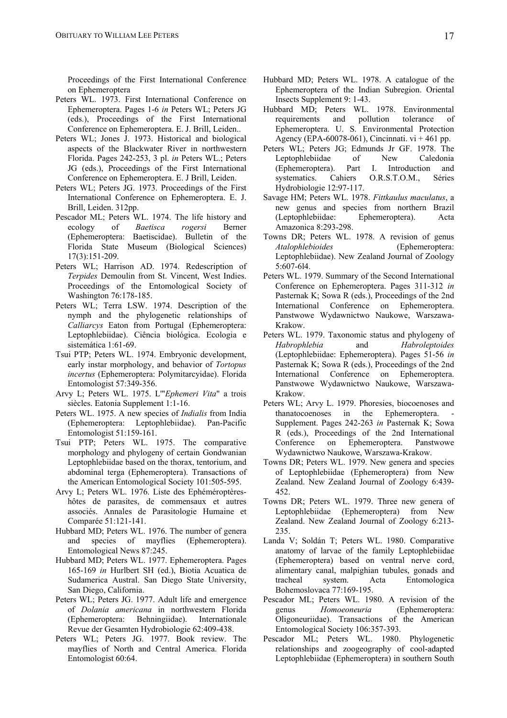Proceedings of the First International Conference on Ephemeroptera

- Peters WL. 1973. First International Conference on Ephemeroptera. Pages 1-6 *in* Peters WL; Peters JG (eds.), Proceedings of the First International Conference on Ephemeroptera. E. J. Brill, Leiden..
- Peters WL; Jones J. 1973. Historical and biological aspects of the Blackwater River in northwestern Florida. Pages 242-253, 3 pl. *in* Peters WL.; Peters JG (eds.), Proceedings of the First International Conference on Ephemeroptera. E. J Brill, Leiden.
- Peters WL; Peters JG. 1973. Proceedings of the First International Conference on Ephemeroptera. E. J. Brill, Leiden. 312pp.
- Pescador ML; Peters WL. 1974. The life history and ecology of *Baetisca rogersi* Berner (Ephemeroptera: Baetiscidae). Bulletin of the Florida State Museum (Biological Sciences) 17(3):151-209.
- Peters WL; Harrison AD. 1974. Redescription of *Terpides* Demoulin from St. Vincent, West Indies. Proceedings of the Entomological Society of Washington 76:178-185.
- Peters WL; Terra LSW. 1974. Description of the nymph and the phylogenetic relationships of *Calliarcys* Eaton from Portugal (Ephemeroptera: Leptophlebiidae). Ciência biológica. Ecologia e sistemática 1:61-69.
- Tsui PTP; Peters WL. 1974. Embryonic development, early instar morphology, and behavior of *Tortopus incertus* (Ephemeroptera: Polymitarcyidae). Florida Entomologist 57:349-356.
- Arvy L; Peters WL. 1975. L'"*Ephemeri Vita*" a trois siècles. Eatonia Supplement 1:1-16.
- Peters WL. 1975. A new species of *Indialis* from India (Ephemeroptera: Leptophlebiidae). Pan-Pacific Entomologist 51:159-161.
- Tsui PTP; Peters WL. 1975. The comparative morphology and phylogeny of certain Gondwanian Leptophlebiidae based on the thorax, tentorium, and abdominal terga (Ephemeroptera). Transactions of the American Entomological Society 101:505-595.
- Arvy L; Peters WL. 1976. Liste des Ephéméroptèreshôtes de parasites, de commensaux et autres associés. Annales de Parasitologie Humaine et Comparée 51:121-141.
- Hubbard MD; Peters WL. 1976. The number of genera and species of mayflies (Ephemeroptera). Entomological News 87:245.
- Hubbard MD; Peters WL. 1977. Ephemeroptera. Pages 165-169 *in* Hurlbert SH (ed.), Biotia Acuatica de Sudamerica Austral. San Diego State University, San Diego, California.
- Peters WL; Peters JG. 1977. Adult life and emergence of *Dolania americana* in northwestern Florida (Ephemeroptera: Behningiidae). Internationale Revue der Gesamten Hydrobiologie 62:409-438.
- Peters WL; Peters JG. 1977. Book review. The mayflies of North and Central America. Florida Entomologist 60:64.
- Hubbard MD; Peters WL. 1978. A catalogue of the Ephemeroptera of the Indian Subregion. Oriental Insects Supplement 9: 1-43.
- Hubbard MD; Peters WL. 1978. Environmental requirements and pollution tolerance of Ephemeroptera. U. S. Environmental Protection Agency (EPA-60078-061), Cincinnati.  $vi + 461$  pp.
- Peters WL; Peters JG; Edmunds Jr GF. 1978. The Leptophlebiidae of New Caledonia (Ephemeroptera). Part I. Introduction and systematics. Cahiers O.R.S.T.O.M., Séries Hydrobiologie 12:97-117.
- Savage HM; Peters WL. 1978. *Fittkaulus maculatus*, a new genus and species from northern Brazil (Leptophlebiidae: Ephemeroptera). Acta Amazonica 8:293-298.
- Towns DR; Peters WL. 1978. A revision of genus *Atalophlebioides* (Ephemeroptera: Leptophlebiidae). New Zealand Journal of Zoology 5:607-6l4.
- Peters WL. 1979. Summary of the Second International Conference on Ephemeroptera. Pages 311-312 *in* Pasternak K; Sowa R (eds.), Proceedings of the 2nd International Conference on Ephemeroptera. Panstwowe Wydawnictwo Naukowe, Warszawa-Krakow.
- Peters WL. 1979. Taxonomic status and phylogeny of *Habrophlebia* and *Habroleptoides* (Leptophlebiidae: Ephemeroptera). Pages 51-56 *in* Pasternak K; Sowa R (eds.), Proceedings of the 2nd International Conference on Ephemeroptera. Panstwowe Wydawnictwo Naukowe, Warszawa-Krakow.
- Peters WL; Arvy L. 1979. Phoresies, biocoenoses and thanatocoenoses in the Ephemeroptera. Supplement. Pages 242-263 *in* Pasternak K; Sowa R (eds.), Proceedings of the 2nd International Conference on Ephemeroptera. Panstwowe Wydawnictwo Naukowe, Warszawa-Krakow.
- Towns DR; Peters WL. 1979. New genera and species of Leptophlebiidae (Ephemeroptera) from New Zealand. New Zealand Journal of Zoology 6:439- 452.
- Towns DR; Peters WL. 1979. Three new genera of Leptophlebiidae (Ephemeroptera) from New Zealand. New Zealand Journal of Zoology 6:213- 235.
- Landa V; Soldán T; Peters WL. 1980. Comparative anatomy of larvae of the family Leptophlebiidae (Ephemeroptera) based on ventral nerve cord, alimentary canal, malpighian tubules, gonads and tracheal system. Acta Entomologica Bohemoslovaca 77:169-195.
- Pescador ML; Peters WL. 1980. A revision of the genus *Homoeoneuria* (Ephemeroptera: Oligoneuriidae). Transactions of the American Entomological Society 106:357-393.
- Pescador ML; Peters WL. 1980. Phylogenetic relationships and zoogeography of cool-adapted Leptophlebiidae (Ephemeroptera) in southern South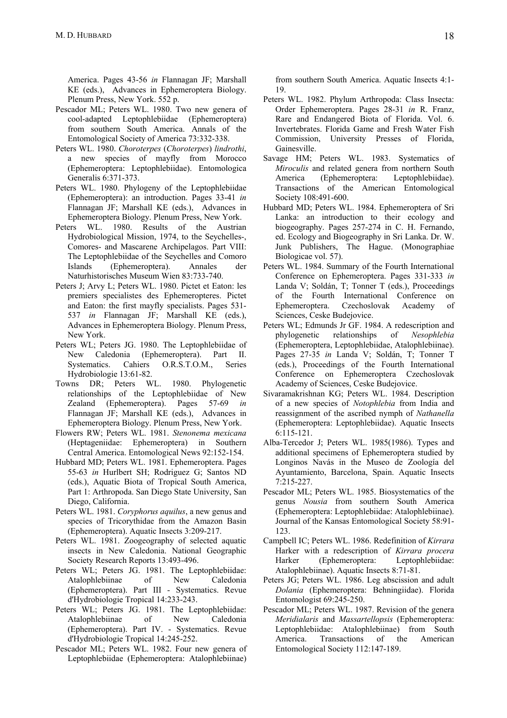America. Pages 43-56 *in* Flannagan JF; Marshall KE (eds.), Advances in Ephemeroptera Biology. Plenum Press, New York. 552 p.

- Pescador ML; Peters WL. 1980. Two new genera of cool-adapted Leptophlebiidae (Ephemeroptera) from southern South America. Annals of the Entomological Society of America 73:332-338.
- Peters WL. 1980. *Choroterpes* (*Choroterpes*) *lindrothi*, a new species of mayfly from Morocco (Ephemeroptera: Leptophlebiidae). Entomologica Generalis 6:371-373.
- Peters WL. 1980. Phylogeny of the Leptophlebiidae (Ephemeroptera): an introduction. Pages 33-41 *in* Flannagan JF; Marshall KE (eds.), Advances in Ephemeroptera Biology. Plenum Press, New York.
- Peters WL. 1980. Results of the Austrian Hydrobiological Mission, 1974, to the Seychelles-, Comores- and Mascarene Archipelagos. Part VIII: The Leptophlebiidae of the Seychelles and Comoro Islands (Ephemeroptera). Annales der Naturhistorisches Museum Wien 83:733-740.
- Peters J; Arvy L; Peters WL. 1980. Pictet et Eaton: les premiers specialistes des Ephemeropteres. Pictet and Eaton: the first mayfly specialists. Pages 531- 537 *in* Flannagan JF; Marshall KE (eds.), Advances in Ephemeroptera Biology. Plenum Press, New York.
- Peters WL; Peters JG. 1980. The Leptophlebiidae of New Caledonia (Ephemeroptera). Part II. Systematics. Cahiers O.R.S.T.O.M., Series Hydrobiologie 13:61-82.
- Towns DR; Peters WL. 1980. Phylogenetic relationships of the Leptophlebiidae of New Zealand (Ephemeroptera). Pages 57-69 *in* Flannagan JF; Marshall KE (eds.), Advances in Ephemeroptera Biology. Plenum Press, New York.
- Flowers RW; Peters WL. 1981. *Stenonema mexicana* (Heptageniidae: Ephemeroptera) in Southern Central America. Entomological News 92:152-154.
- Hubbard MD; Peters WL. 1981. Ephemeroptera. Pages 55-63 *in* Hurlbert SH; Rodriguez G; Santos ND (eds.), Aquatic Biota of Tropical South America, Part 1: Arthropoda. San Diego State University, San Diego, California.
- Peters WL. 1981. *Coryphorus aquilus*, a new genus and species of Tricorythidae from the Amazon Basin (Ephemeroptera). Aquatic Insects 3:209-217.
- Peters WL. 1981. Zoogeography of selected aquatic insects in New Caledonia. National Geographic Society Research Reports 13:493-496.
- Peters WL; Peters JG. 1981. The Leptophlebiidae: Atalophlebiinae of New Caledonia (Ephemeroptera). Part III - Systematics. Revue d'Hydrobiologie Tropical 14:233-243.
- Peters WL; Peters JG. 1981. The Leptophlebiidae: Atalophlebiinae of New Caledonia (Ephemeroptera). Part IV. - Systematics. Revue d'Hydrobiologie Tropical 14:245-252.
- Pescador ML; Peters WL. 1982. Four new genera of Leptophlebiidae (Ephemeroptera: Atalophlebiinae)

from southern South America. Aquatic Insects 4:1- 19.

- Peters WL. 1982. Phylum Arthropoda: Class Insecta: Order Ephemeroptera. Pages 28-31 *in* R. Franz, Rare and Endangered Biota of Florida. Vol. 6. Invertebrates. Florida Game and Fresh Water Fish Commission, University Presses of Florida, Gainesville.
- Savage HM; Peters WL. 1983. Systematics of *Miroculis* and related genera from northern South America (Ephemeroptera: Leptophlebiidae). Transactions of the American Entomological Society 108:491-600.
- Hubbard MD; Peters WL. 1984. Ephemeroptera of Sri Lanka: an introduction to their ecology and biogeography. Pages 257-274 in C. H. Fernando, ed. Ecology and Biogeography in Sri Lanka. Dr. W. Junk Publishers, The Hague. (Monographiae Biologicae vol. 57).
- Peters WL. 1984. Summary of the Fourth International Conference on Ephemeroptera. Pages 331-333 *in* Landa V; Soldán, T; Tonner T (eds.), Proceedings of the Fourth International Conference on Ephemeroptera. Czechoslovak Academy of Sciences, Ceske Budejovice.
- Peters WL; Edmunds Jr GF. 1984. A redescription and phylogenetic relationships of *Nesophlebia* (Ephemeroptera, Leptophlebiidae, Atalophlebiinae). Pages 27-35 *in* Landa V; Soldán, T; Tonner T (eds.), Proceedings of the Fourth International Conference on Ephemeroptera Czechoslovak Academy of Sciences, Ceske Budejovice.
- Sivaramakrishnan KG; Peters WL. 1984. Description of a new species of *Notophlebia* from India and reassignment of the ascribed nymph of *Nathanella* (Ephemeroptera: Leptophlebiidae). Aquatic Insects 6:115-121.
- Alba-Tercedor J; Peters WL. 1985(1986). Types and additional specimens of Ephemeroptera studied by Longinos Navás in the Museo de Zoología del Ayuntamiento, Barcelona, Spain. Aquatic Insects 7:215-227.
- Pescador ML; Peters WL. 1985. Biosystematics of the genus *Nousia* from southern South America (Ephemeroptera: Leptophlebiidae: Atalophlebiinae). Journal of the Kansas Entomological Society 58:91- 123.
- Campbell IC; Peters WL. 1986. Redefinition of *Kirrara* Harker with a redescription of *Kirrara procera* Harker (Ephemeroptera: Leptophlebiidae: Atalophlebiinae). Aquatic Insects 8:71-81.
- Peters JG; Peters WL. 1986. Leg abscission and adult *Dolania* (Ephemeroptera: Behningiidae). Florida Entomologist 69:245-250.
- Pescador ML; Peters WL. 1987. Revision of the genera *Meridialaris* and *Massartellopsis* (Ephemeroptera: Leptophlebiidae: Atalophlebiinae) from South America. Transactions of the American Entomological Society 112:147-189.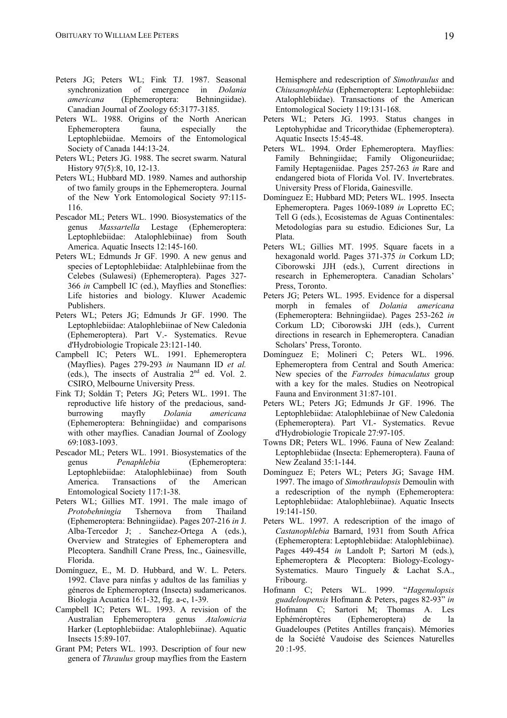- Peters JG; Peters WL; Fink TJ. 1987. Seasonal synchronization of emergence in *Dolania americana* (Ephemeroptera: Behningiidae). Canadian Journal of Zoology 65:3177-3185.
- Peters WL. 1988. Origins of the North Anerican Ephemeroptera fauna, especially the Leptophlebiidae. Memoirs of the Entomological Society of Canada 144:13-24.
- Peters WL; Peters JG. 1988. The secret swarm. Natural History 97(5):8, 10, 12-13.
- Peters WL; Hubbard MD. 1989. Names and authorship of two family groups in the Ephemeroptera. Journal of the New York Entomological Society 97:115- 116.
- Pescador ML; Peters WL. 1990. Biosystematics of the genus *Massartella* Lestage (Ephemeroptera: Leptophlebiidae: Atalophlebiinae) from South America. Aquatic Insects 12:145-160.
- Peters WL; Edmunds Jr GF. 1990. A new genus and species of Leptophlebiidae: Atalphlebiinae from the Celebes (Sulawesi) (Ephemeroptera). Pages 327- 366 *in* Campbell IC (ed.), Mayflies and Stoneflies: Life histories and biology. Kluwer Academic Publishers.
- Peters WL; Peters JG; Edmunds Jr GF. 1990. The Leptophlebiidae: Atalophlebiinae of New Caledonia (Ephemeroptera). Part V.- Systematics. Revue d'Hydrobiologie Tropicale 23:121-140.
- Campbell IC; Peters WL. 1991. Ephemeroptera (Mayflies). Pages 279-293 *in* Naumann ID *et al.* (eds.), The insects of Australia  $2<sup>nd</sup>$  ed. Vol. 2. CSIRO, Melbourne University Press.
- Fink TJ; Soldán T; Peters JG; Peters WL. 1991. The reproductive life history of the predacious, sandburrowing mayfly *Dolania americana* (Ephemeroptera: Behningiidae) and comparisons with other mayflies. Canadian Journal of Zoology 69:1083-1093.
- Pescador ML; Peters WL. 1991. Biosystematics of the genus *Penaphlebia* (Ephemeroptera: Leptophlebiidae: Atalophlebiinae) from South America. Transactions of the American Entomological Society 117:1-38.
- Peters WL; Gillies MT. 1991. The male imago of *Protobehningia* Tshernova from Thailand (Ephemeroptera: Behningiidae). Pages 207-216 *in* J. Alba-Tercedor J; . Sanchez-Ortega A (eds.), Overview and Strategies of Ephemeroptera and Plecoptera. Sandhill Crane Press, Inc., Gainesville, Florida.
- Domínguez, E., M. D. Hubbard, and W. L. Peters. 1992. Clave para ninfas y adultos de las familias y géneros de Ephemeroptera (Insecta) sudamericanos. Biologia Acuatica 16:1-32, fig. a-c, 1-39.
- Campbell IC; Peters WL. 1993. A revision of the Australian Ephemeroptera genus *Atalomicria* Harker (Leptophlebiidae: Atalophlebiinae). Aquatic Insects 15:89-107.
- Grant PM; Peters WL. 1993. Description of four new genera of *Thraulus* group mayflies from the Eastern

Hemisphere and redescription of *Simothraulus* and *Chiusanophlebia* (Ephemeroptera: Leptophlebiidae: Atalophlebiidae). Transactions of the American Entomological Society 119:131-168.

- Peters WL; Peters JG. 1993. Status changes in Leptohyphidae and Tricorythidae (Ephemeroptera). Aquatic Insects 15:45-48.
- Peters WL. 1994. Order Ephemeroptera. Mayflies: Family Behningiidae; Family Oligoneuriidae; Family Heptageniidae. Pages 257-263 *in* Rare and endangered biota of Florida Vol. IV. Invertebrates. University Press of Florida, Gainesville.
- Domínguez E; Hubbard MD; Peters WL. 1995. Insecta Ephemeroptera. Pages 1069-1089 *in* Lopretto EC; Tell G (eds.), Ecosistemas de Aguas Continentales: Metodologías para su estudio. Ediciones Sur, La Plata.
- Peters WL; Gillies MT. 1995. Square facets in a hexagonald world. Pages 371-375 *in* Corkum LD; Ciborowski JJH (eds.), Current directions in research in Ephemeroptera. Canadian Scholars' Press, Toronto.
- Peters JG; Peters WL. 1995. Evidence for a dispersal morph in females of *Dolania americana* (Ephemeroptera: Behningiidae). Pages 253-262 *in* Corkum LD; Ciborowski JJH (eds.), Current directions in research in Ephemeroptera. Canadian Scholars' Press, Toronto.
- Domínguez E; Molineri C; Peters WL. 1996. Ephemeroptera from Central and South America: New species of the *Farrodes bimaculatus* group with a key for the males. Studies on Neotropical Fauna and Environment 31:87-101.
- Peters WL; Peters JG; Edmunds Jr GF. 1996. The Leptophlebiidae: Atalophlebiinae of New Caledonia (Ephemeroptera). Part VI.- Systematics. Revue d'Hydrobiologie Tropicale 27:97-105.
- Towns DR; Peters WL. 1996. Fauna of New Zealand: Leptophlebiidae (Insecta: Ephemeroptera). Fauna of New Zealand 35:1-144.
- Domínguez E; Peters WL; Peters JG; Savage HM. 1997. The imago of *Simothraulopsis* Demoulin with a redescription of the nymph (Ephemeroptera: Leptophlebiidae: Atalophlebiinae). Aquatic Insects 19:141-150.
- Peters WL. 1997. A redescription of the imago of *Castanophlebia* Barnard, 1931 from South Africa (Ephemeroptera: Leptophlebiidae: Atalophlebiinae). Pages 449-454 *in* Landolt P; Sartori M (eds.), Ephemeroptera & Plecoptera: Biology-Ecology-Systematics. Mauro Tinguely & Lachat S.A., Fribourg.
- Hofmann C; Peters WL. 1999. "*Hagenulopsis guadeloupensis* Hofmann & Peters, pages 82-93" *in* Hofmann C; Sartori M; Thomas A. Les Ephéméroptères (Ephemeroptera) de la Guadeloupes (Petites Antilles français). Mémories de la Société Vaudoise des Sciences Naturelles 20 :1-95.